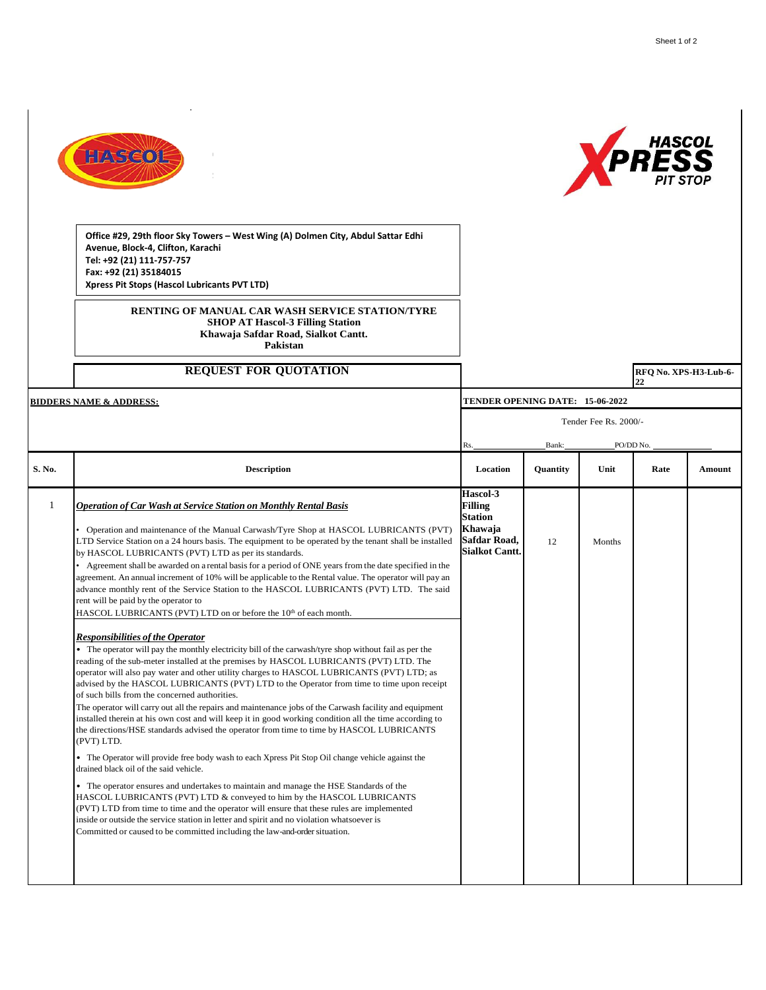



**Office #29, 29th floor Sky Towers – West Wing (A) Dolmen City, Abdul Sattar Edhi Avenue, Block-4, Clifton, Karachi Tel: +92 (21) 111-757-757 Fax: +92 (21) 35184015 Xpress Pit Stops (Hascol Lubricants PVT LTD)**

> **RENTING OF MANUAL CAR WASH SERVICE STATION/TYRE SHOP AT Hascol-3 Filling Station Khawaja Safdar Road, Sialkot Cantt. Pakistan**

## **REQUEST FOR QUOTATION**

**RFQ No. XPS-H3-Lub-6-22** 

| <b>BIDDERS NAME &amp; ADDRESS:</b> |                                                                                                                                                                                                                                                                                                                                                                                                                                                                                                                                                                                                                                                                                                                                                                                                                                                                                                                                                                                                                                                                                                                                                                                                                                                                                                                                                                                                                                                                                                                                                                                                                                                                                                                                                                                                                                                                                                                                                                                                                                                                                                                                                                                           | TENDER OPENING DATE: 15-06-2022                                                                         |          |        |      |               |
|------------------------------------|-------------------------------------------------------------------------------------------------------------------------------------------------------------------------------------------------------------------------------------------------------------------------------------------------------------------------------------------------------------------------------------------------------------------------------------------------------------------------------------------------------------------------------------------------------------------------------------------------------------------------------------------------------------------------------------------------------------------------------------------------------------------------------------------------------------------------------------------------------------------------------------------------------------------------------------------------------------------------------------------------------------------------------------------------------------------------------------------------------------------------------------------------------------------------------------------------------------------------------------------------------------------------------------------------------------------------------------------------------------------------------------------------------------------------------------------------------------------------------------------------------------------------------------------------------------------------------------------------------------------------------------------------------------------------------------------------------------------------------------------------------------------------------------------------------------------------------------------------------------------------------------------------------------------------------------------------------------------------------------------------------------------------------------------------------------------------------------------------------------------------------------------------------------------------------------------|---------------------------------------------------------------------------------------------------------|----------|--------|------|---------------|
|                                    |                                                                                                                                                                                                                                                                                                                                                                                                                                                                                                                                                                                                                                                                                                                                                                                                                                                                                                                                                                                                                                                                                                                                                                                                                                                                                                                                                                                                                                                                                                                                                                                                                                                                                                                                                                                                                                                                                                                                                                                                                                                                                                                                                                                           | Tender Fee Rs. 2000/-                                                                                   |          |        |      |               |
|                                    |                                                                                                                                                                                                                                                                                                                                                                                                                                                                                                                                                                                                                                                                                                                                                                                                                                                                                                                                                                                                                                                                                                                                                                                                                                                                                                                                                                                                                                                                                                                                                                                                                                                                                                                                                                                                                                                                                                                                                                                                                                                                                                                                                                                           | Bank:<br>PO/DD No.<br>Rs.                                                                               |          |        |      |               |
| S. No.                             | <b>Description</b>                                                                                                                                                                                                                                                                                                                                                                                                                                                                                                                                                                                                                                                                                                                                                                                                                                                                                                                                                                                                                                                                                                                                                                                                                                                                                                                                                                                                                                                                                                                                                                                                                                                                                                                                                                                                                                                                                                                                                                                                                                                                                                                                                                        | Location                                                                                                | Quantity | Unit   | Rate | <b>Amount</b> |
| 1                                  | <b>Operation of Car Wash at Service Station on Monthly Rental Basis</b><br>Operation and maintenance of the Manual Carwash/Tyre Shop at HASCOL LUBRICANTS (PVT)<br>LTD Service Station on a 24 hours basis. The equipment to be operated by the tenant shall be installed<br>by HASCOL LUBRICANTS (PVT) LTD as per its standards.<br>Agreement shall be awarded on a rental basis for a period of ONE years from the date specified in the<br>agreement. An annual increment of 10% will be applicable to the Rental value. The operator will pay an<br>advance monthly rent of the Service Station to the HASCOL LUBRICANTS (PVT) LTD. The said<br>rent will be paid by the operator to<br>HASCOL LUBRICANTS (PVT) LTD on or before the 10 <sup>th</sup> of each month.<br><b>Responsibilities of the Operator</b><br>• The operator will pay the monthly electricity bill of the carwash/tyre shop without fail as per the<br>reading of the sub-meter installed at the premises by HASCOL LUBRICANTS (PVT) LTD. The<br>operator will also pay water and other utility charges to HASCOL LUBRICANTS (PVT) LTD; as<br>advised by the HASCOL LUBRICANTS (PVT) LTD to the Operator from time to time upon receipt<br>of such bills from the concerned authorities.<br>The operator will carry out all the repairs and maintenance jobs of the Carwash facility and equipment<br>installed therein at his own cost and will keep it in good working condition all the time according to<br>the directions/HSE standards advised the operator from time to time by HASCOL LUBRICANTS<br>(PVT) LTD.<br>• The Operator will provide free body wash to each Xpress Pit Stop Oil change vehicle against the<br>drained black oil of the said vehicle.<br>• The operator ensures and undertakes to maintain and manage the HSE Standards of the<br>HASCOL LUBRICANTS (PVT) LTD & conveyed to him by the HASCOL LUBRICANTS<br>(PVT) LTD from time to time and the operator will ensure that these rules are implemented<br>inside or outside the service station in letter and spirit and no violation whatsoever is<br>Committed or caused to be committed including the law-and-order situation. | Hascol-3<br><b>Filling</b><br><b>Station</b><br>Khawaja<br><b>Safdar Road,</b><br><b>Sialkot Cantt.</b> | 12       | Months |      |               |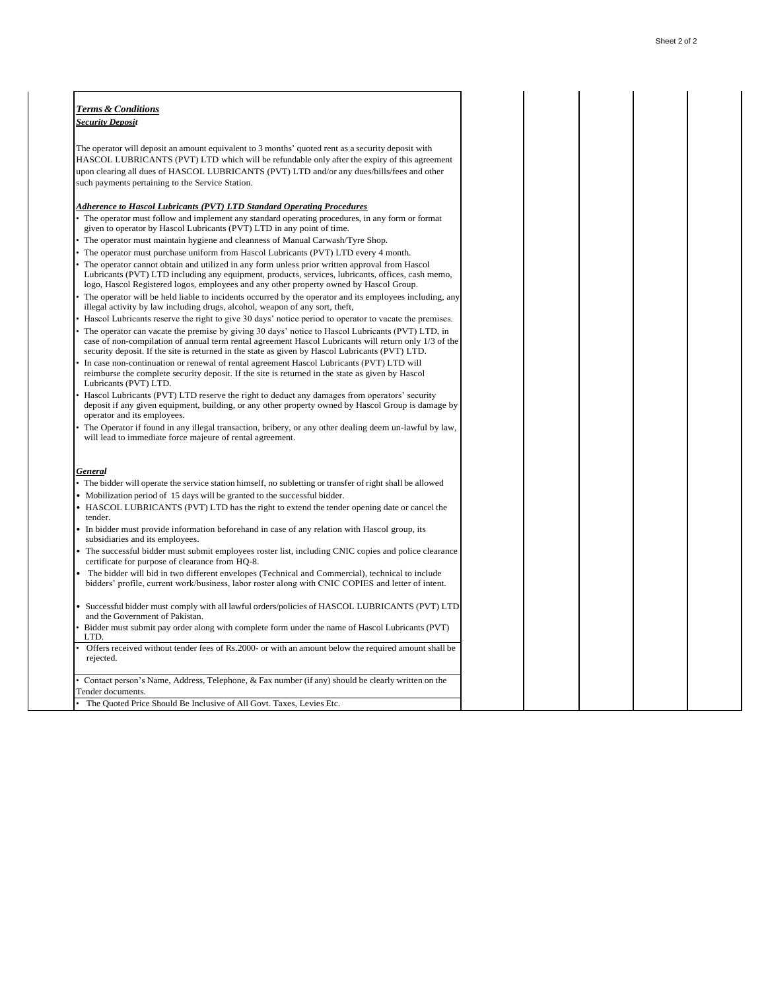| <b>Terms &amp; Conditions</b>                                                                                                                                                                                                                                                                                                                                                                           |  |  |
|---------------------------------------------------------------------------------------------------------------------------------------------------------------------------------------------------------------------------------------------------------------------------------------------------------------------------------------------------------------------------------------------------------|--|--|
| <b>Security Deposit</b>                                                                                                                                                                                                                                                                                                                                                                                 |  |  |
|                                                                                                                                                                                                                                                                                                                                                                                                         |  |  |
| The operator will deposit an amount equivalent to 3 months' quoted rent as a security deposit with                                                                                                                                                                                                                                                                                                      |  |  |
| HASCOL LUBRICANTS (PVT) LTD which will be refundable only after the expiry of this agreement                                                                                                                                                                                                                                                                                                            |  |  |
| upon clearing all dues of HASCOL LUBRICANTS (PVT) LTD and/or any dues/bills/fees and other                                                                                                                                                                                                                                                                                                              |  |  |
| such payments pertaining to the Service Station.                                                                                                                                                                                                                                                                                                                                                        |  |  |
|                                                                                                                                                                                                                                                                                                                                                                                                         |  |  |
| <b>Adherence to Hascol Lubricants (PVT) LTD Standard Operating Procedures</b>                                                                                                                                                                                                                                                                                                                           |  |  |
| The operator must follow and implement any standard operating procedures, in any form or format<br>given to operator by Hascol Lubricants (PVT) LTD in any point of time.                                                                                                                                                                                                                               |  |  |
| The operator must maintain hygiene and cleanness of Manual Carwash/Tyre Shop.                                                                                                                                                                                                                                                                                                                           |  |  |
| The operator must purchase uniform from Hascol Lubricants (PVT) LTD every 4 month.                                                                                                                                                                                                                                                                                                                      |  |  |
| The operator cannot obtain and utilized in any form unless prior written approval from Hascol<br>Lubricants (PVT) LTD including any equipment, products, services, lubricants, offices, cash memo,<br>logo, Hascol Registered logos, employees and any other property owned by Hascol Group.<br>The operator will be held liable to incidents occurred by the operator and its employees including, any |  |  |
| illegal activity by law including drugs, alcohol, we apon of any sort, theft,                                                                                                                                                                                                                                                                                                                           |  |  |
| Hascol Lubricants reserve the right to give 30 days' notice period to operator to vacate the premises.                                                                                                                                                                                                                                                                                                  |  |  |
| The operator can vacate the premise by giving 30 days' notice to Hascol Lubricants (PVT) LTD, in<br>case of non-compilation of annual term rental agreement Hascol Lubricants will return only 1/3 of the<br>security deposit. If the site is returned in the state as given by Hascol Lubricants (PVT) LTD.                                                                                            |  |  |
| In case non-continuation or renewal of rental agreement Hascol Lubricants (PVT) LTD will                                                                                                                                                                                                                                                                                                                |  |  |
| reimburse the complete security deposit. If the site is returned in the state as given by Hascol<br>Lubricants (PVT) LTD.                                                                                                                                                                                                                                                                               |  |  |
| Hascol Lubricants (PVT) LTD reserve the right to deduct any damages from operators' security<br>deposit if any given equipment, building, or any other property owned by Hascol Group is damage by<br>operator and its employees.                                                                                                                                                                       |  |  |
| The Operator if found in any illegal transaction, bribery, or any other dealing deem un-lawful by law,<br>will lead to immediate force majeure of rental agreement.                                                                                                                                                                                                                                     |  |  |
| General                                                                                                                                                                                                                                                                                                                                                                                                 |  |  |
| The bidder will operate the service station himself, no subletting or transfer of right shall be allowed                                                                                                                                                                                                                                                                                                |  |  |
| Mobilization period of 15 days will be granted to the successful bidder.                                                                                                                                                                                                                                                                                                                                |  |  |
| HASCOL LUBRICANTS (PVT) LTD has the right to extend the tender opening date or cancel the                                                                                                                                                                                                                                                                                                               |  |  |
| tender.                                                                                                                                                                                                                                                                                                                                                                                                 |  |  |
| In bidder must provide information beforehand in case of any relation with Hascol group, its<br>subsidiaries and its employees.                                                                                                                                                                                                                                                                         |  |  |
| The successful bidder must submit employees roster list, including CNIC copies and police clearance<br>certificate for purpose of clearance from HQ-8.                                                                                                                                                                                                                                                  |  |  |
| The bidder will bid in two different envelopes (Technical and Commercial), technical to include<br>bidders' profile, current work/business, labor roster along with CNIC COPIES and letter of intent.                                                                                                                                                                                                   |  |  |
| Successful bidder must comply with all lawful orders/policies of HASCOL LUBRICANTS (PVT) LTD                                                                                                                                                                                                                                                                                                            |  |  |
| and the Government of Pakistan.<br>Bidder must submit pay order along with complete form under the name of Hascol Lubricants (PVT)                                                                                                                                                                                                                                                                      |  |  |
| LTD.                                                                                                                                                                                                                                                                                                                                                                                                    |  |  |
| Offers received without tender fees of Rs.2000- or with an amount below the required amount shall be<br>rejected.                                                                                                                                                                                                                                                                                       |  |  |
| Contact person's Name, Address, Telephone, & Fax number (if any) should be clearly written on the                                                                                                                                                                                                                                                                                                       |  |  |
| Fender documents.                                                                                                                                                                                                                                                                                                                                                                                       |  |  |
| The Quoted Price Should Be Inclusive of All Govt. Taxes, Levies Etc.                                                                                                                                                                                                                                                                                                                                    |  |  |